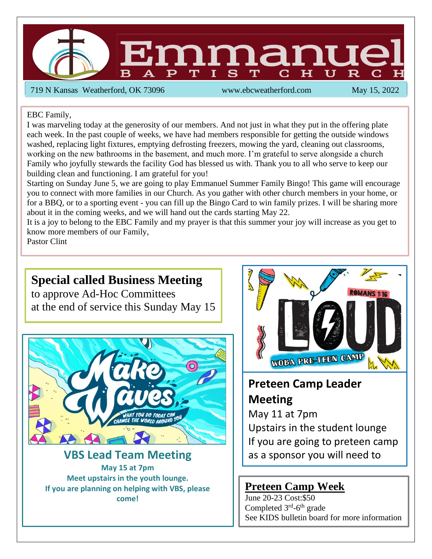

719 N Kansas Weatherford, OK 73096 www.ebcweatherford.com May 15, 2022

#### EBC Family,

I was marveling today at the generosity of our members. And not just in what they put in the offering plate each week. In the past couple of weeks, we have had members responsible for getting the outside windows washed, replacing light fixtures, emptying defrosting freezers, mowing the yard, cleaning out classrooms, working on the new bathrooms in the basement, and much more. I'm grateful to serve alongside a church Family who joyfully stewards the facility God has blessed us with. Thank you to all who serve to keep our building clean and functioning. I am grateful for you!

Starting on Sunday June 5, we are going to play Emmanuel Summer Family Bingo! This game will encourage you to connect with more families in our Church. As you gather with other church members in your home, or for a BBQ, or to a sporting event - you can fill up the Bingo Card to win family prizes. I will be sharing more about it in the coming weeks, and we will hand out the cards starting May 22.

It is a joy to belong to the EBC Family and my prayer is that this summer your joy will increase as you get to know more members of our Family,

Pastor Clint

l

# **Special called Business Meeting**

to approve Ad-Hoc Committees at the end of service this Sunday May 15



## **VBS Lead Team Meeting May 15 at 7pm**

**Meet upstairs in the youth lounge. If you are planning on helping with VBS, please come!**



# **Preteen Camp Leader Meeting**

May 11 at 7pm

Upstairs in the student lounge If you are going to preteen camp as a sponsor you will need to

## **Preteen Camp Week**

attend the meeting.

June 20-23 Cost:\$50 Completed 3<sup>rd</sup>-6<sup>th</sup> grade See KIDS bulletin board for more information